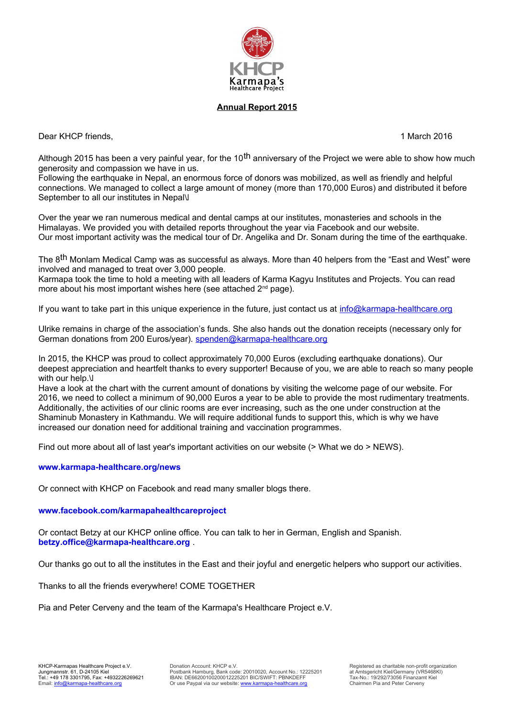

## **Annual Report 2015**

Dear KHCP friends, 1 March 2016

Although 2015 has been a very painful year, for the 10<sup>th</sup> anniversary of the Project we were able to show how much generosity and compassion we have in us.

Following the earthquake in Nepal, an enormous force of donors was mobilized, as well as friendly and helpful connections. We managed to collect a large amount of money (more than 170,000 Euros) and distributed it before September to all our institutes in Nepal V

Over the year we ran numerous medical and dental camps at our institutes, monasteries and schools in the Himalayas. We provided you with detailed reports throughout the year via Facebook and our website. Our most important activity was the medical tour of Dr. Angelika and Dr. Sonam during the time of the earthquake.

The 8<sup>th</sup> Monlam Medical Camp was as successful as always. More than 40 helpers from the "East and West" were involved and managed to treat over 3,000 people.

Karmapa took the time to hold a meeting with all leaders of Karma Kagyu Institutes and Projects. You can read more about his most important wishes here (see attached 2<sup>nd</sup> page).

If you want to take part in this unique experience in the future, just contact us at info@karmapa-healthcare.org

Ulrike remains in charge of the association's funds. She also hands out the donation receipts (necessary only for German donations from 200 Euros/year). spenden@karmapa-healthcare.org

In 2015, the KHCP was proud to collect approximately 70,000 Euros (excluding earthquake donations). Our deepest appreciation and heartfelt thanks to every supporter! Because of you, we are able to reach so many people with our help.\J

Have a look at the chart with the current amount of donations by visiting the welcome page of our website. For 2016, we need to collect a minimum of 90,000 Euros a year to be able to provide the most rudimentary treatments. Additionally, the activities of our clinic rooms are ever increasing, such as the one under construction at the Shaminub Monastery in Kathmandu. We will require additional funds to support this, which is why we have increased our donation need for additional training and vaccination programmes.

Find out more about all of last year's important activities on our website (> What we do > NEWS).

## **www.karmapa-healthcare.org/news**

Or connect with KHCP on Facebook and read many smaller blogs there.

**www.facebook.com/karmapahealthcareproject** 

Or contact Betzy at our KHCP online office. You can talk to her in German, English and Spanish. **betzy.office@karmapa-healthcare.org** .

Our thanks go out to all the institutes in the East and their joyful and energetic helpers who support our activities.

Thanks to all the friends everywhere! COME TOGETHER

Pia and Peter Cerveny and the team of the Karmapa's Healthcare Project e.V.